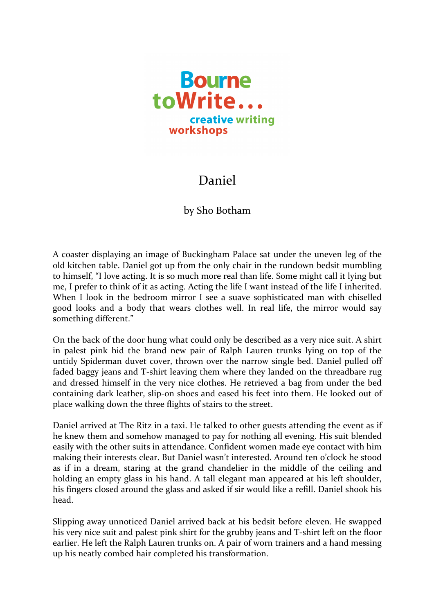

## Daniel

## by Sho Botham

A coaster displaying an image of Buckingham Palace sat under the uneven leg of the old kitchen table. Daniel got up from the only chair in the rundown bedsit mumbling to himself, "I love acting. It is so much more real than life. Some might call it lying but me, I prefer to think of it as acting. Acting the life I want instead of the life I inherited. When I look in the bedroom mirror I see a suave sophisticated man with chiselled good looks and a body that wears clothes well. In real life, the mirror would say something different."

On the back of the door hung what could only be described as a very nice suit. A shirt in palest pink hid the brand new pair of Ralph Lauren trunks lying on top of the untidy Spiderman duvet cover, thrown over the narrow single bed. Daniel pulled off faded baggy jeans and T-shirt leaving them where they landed on the threadbare rug and dressed himself in the very nice clothes. He retrieved a bag from under the bed containing dark leather, slip-on shoes and eased his feet into them. He looked out of place walking down the three flights of stairs to the street.

Daniel arrived at The Ritz in a taxi. He talked to other guests attending the event as if he knew them and somehow managed to pay for nothing all evening. His suit blended easily with the other suits in attendance. Confident women made eye contact with him making their interests clear. But Daniel wasn't interested. Around ten o'clock he stood as if in a dream, staring at the grand chandelier in the middle of the ceiling and holding an empty glass in his hand. A tall elegant man appeared at his left shoulder, his fingers closed around the glass and asked if sir would like a refill. Daniel shook his head.

Slipping away unnoticed Daniel arrived back at his bedsit before eleven. He swapped his very nice suit and palest pink shirt for the grubby jeans and T-shirt left on the floor earlier. He left the Ralph Lauren trunks on. A pair of worn trainers and a hand messing up his neatly combed hair completed his transformation.